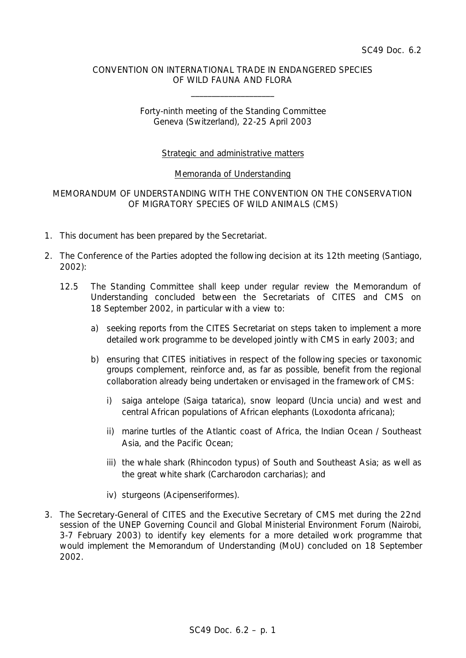#### CONVENTION ON INTERNATIONAL TRADE IN ENDANGERED SPECIES OF WILD FAUNA AND FLORA

\_\_\_\_\_\_\_\_\_\_\_\_\_\_\_\_\_\_\_\_

# Forty-ninth meeting of the Standing Committee Geneva (Switzerland), 22-25 April 2003

# Strategic and administrative matters

#### Memoranda of Understanding

## MEMORANDUM OF UNDERSTANDING WITH THE CONVENTION ON THE CONSERVATION OF MIGRATORY SPECIES OF WILD ANIMALS (CMS)

- 1. This document has been prepared by the Secretariat.
- 2. The Conference of the Parties adopted the following decision at its 12th meeting (Santiago, 2002):
	- *12.5 The Standing Committee shall keep under regular review the Memorandum of Understanding concluded between the Secretariats of CITES and CMS on 18 September 2002, in particular with a view to:*
		- *a) seeking reports from the CITES Secretariat on steps taken to implement a more detailed work programme to be developed jointly with CMS in early 2003; and*
		- *b) ensuring that CITES initiatives in respect of the following species or taxonomic groups complement, reinforce and, as far as possible, benefit from the regional collaboration already being undertaken or envisaged in the framework of CMS:*
			- *i) saiga antelope (Saiga tatarica), snow leopard (Uncia uncia) and west and central African populations of African elephants (Loxodonta africana);*
			- *ii) marine turtles of the Atlantic coast of Africa, the Indian Ocean / Southeast Asia, and the Pacific Ocean;*
			- *iii) the whale shark (Rhincodon typus) of South and Southeast Asia; as well as the great white shark (Carcharodon carcharias); and*
			- *iv) sturgeons (Acipenseriformes).*
- 3. The Secretary-General of CITES and the Executive Secretary of CMS met during the 22nd session of the UNEP Governing Council and Global Ministerial Environment Forum (Nairobi, 3-7 February 2003) to identify key elements for a more detailed work programme that would implement the Memorandum of Understanding (MoU) concluded on 18 September 2002.